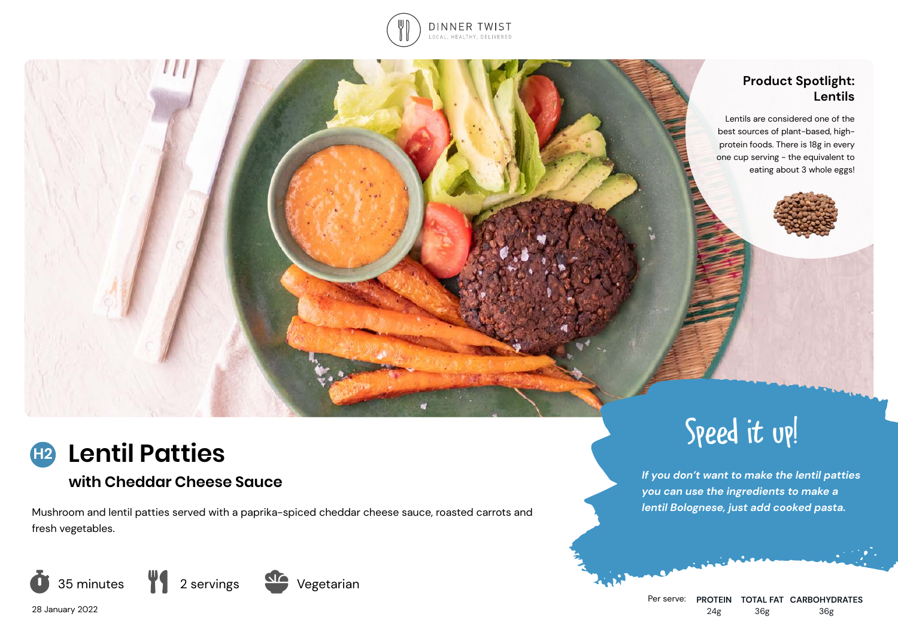

## **Product Spotlight: Lentils**

 Lentils are considered one of the best sources of plant-based, highprotein foods. There is 18g in every one cup serving - the equivalent to eating about 3 whole eggs!



# **with Cheddar Cheese Sauce**

Mushroom and lentil patties served with a paprika-spiced cheddar cheese sauce, roasted carrots and fresh vegetables.





*If you don't want to make the lentil patties you can use the ingredients to make a lentil Bolognese, just add cooked pasta.*

Speed it up!

28 January 2022